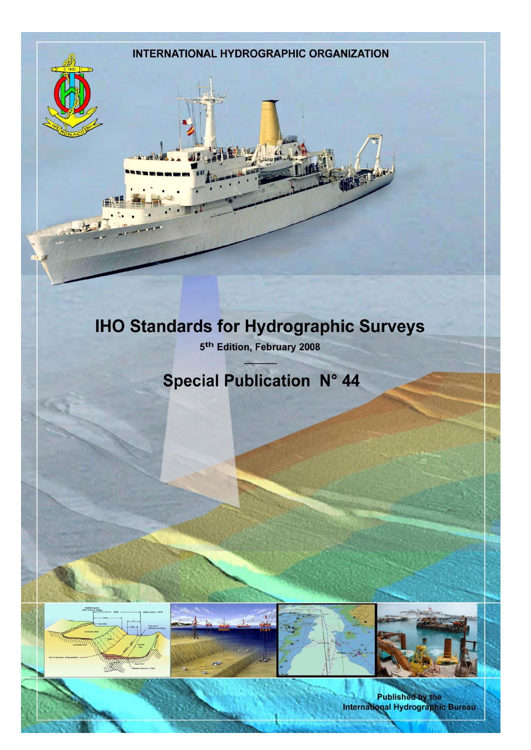# **INTERNATIONAL HYDROGRAPHIC ORGANIZATION IHO Standards for Hydrographic Surveys** 5<sup>th</sup> Edition, February 2008 **Special Publication N° 44**

Published by the<br>International Hydrographic Bureau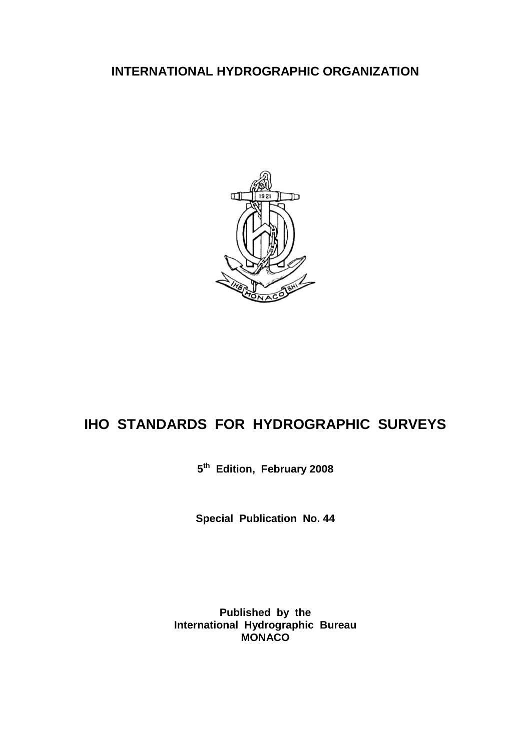### **INTERNATIONAL HYDROGRAPHIC ORGANIZATION**



# **IHO STANDARDS FOR HYDROGRAPHIC SURVEYS**

**5 th Edition, February 2008**

**Special Publication No. 44**

**Published by the International Hydrographic Bureau MONACO**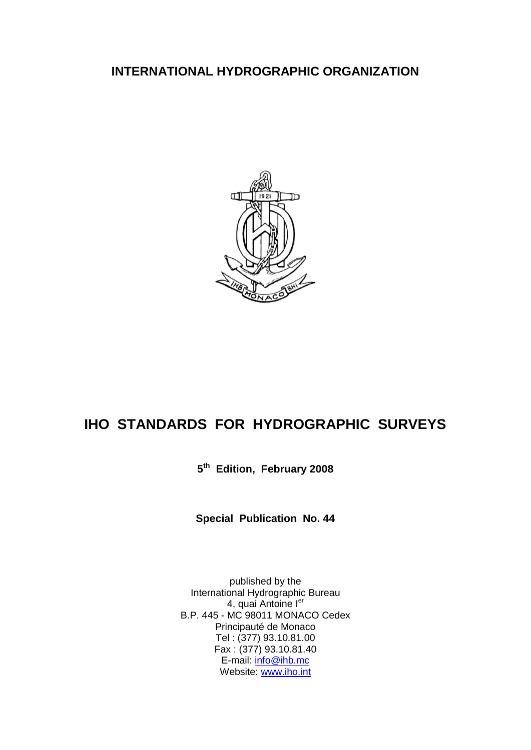### **INTERNATIONAL HYDROGRAPHIC ORGANIZATION**



## **IHO STANDARDS FOR HYDROGRAPHIC SURVEYS**

**5 th Edition, February 2008**

**Special Publication No. 44**

published by the International Hydrographic Bureau 4, quai Antoine ler B.P. 445 - MC 98011 MONACO Cedex Principauté de Monaco Tel : (377) 93.10.81.00 Fax : (377) 93.10.81.40 E-mail: [info@ihb.mc](mailto:info@ihb.mc) Website: [www.iho.int](http://www.iho.int/)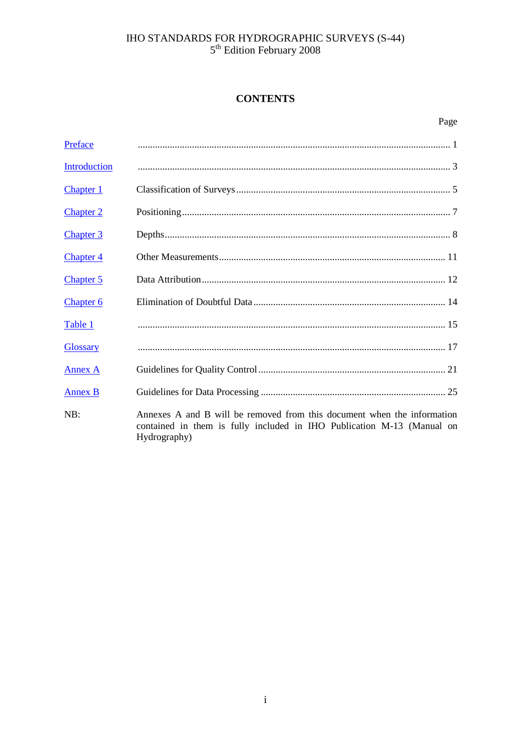# IHO STANDARDS FOR HYDROGRAPHIC SURVEYS (S-44)<br> $5^{\text{th}}$  Edition February 2008

### **CONTENTS**

| Preface              |                                                                                                                                                                   |
|----------------------|-------------------------------------------------------------------------------------------------------------------------------------------------------------------|
| <b>Introduction</b>  |                                                                                                                                                                   |
| <b>Chapter 1</b>     |                                                                                                                                                                   |
| <b>Chapter 2</b>     |                                                                                                                                                                   |
| <b>Chapter 3</b>     |                                                                                                                                                                   |
| <b>Chapter 4</b>     |                                                                                                                                                                   |
| <b>Chapter 5</b>     |                                                                                                                                                                   |
| Chapter <sub>6</sub> |                                                                                                                                                                   |
| Table 1              |                                                                                                                                                                   |
| <b>Glossary</b>      |                                                                                                                                                                   |
| <b>Annex A</b>       |                                                                                                                                                                   |
| <b>Annex B</b>       |                                                                                                                                                                   |
| NB:                  | Annexes A and B will be removed from this document when the information<br>contained in them is fully included in IHO Publication M-13 (Manual on<br>Hydrography) |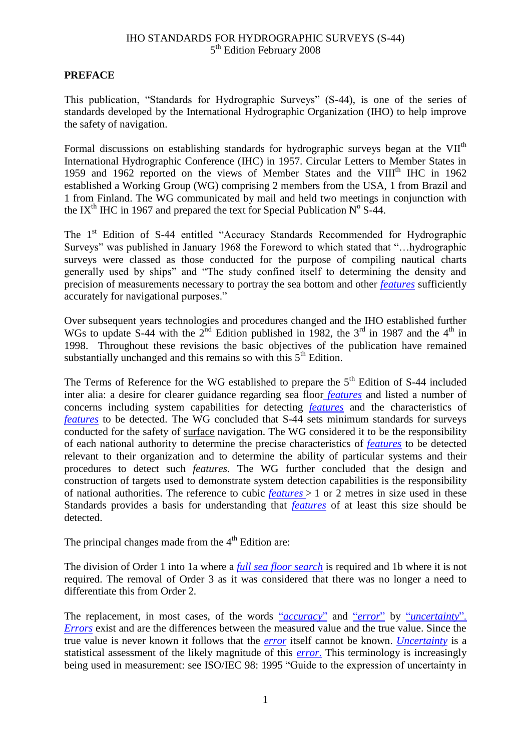### <span id="page-8-0"></span>**PREFACE**

This publication, "Standards for Hydrographic Surveys" (S-44), is one of the series of standards developed by the International Hydrographic Organization (IHO) to help improve the safety of navigation.

Formal discussions on establishing standards for hydrographic surveys began at the VII<sup>th</sup> International Hydrographic Conference (IHC) in 1957. Circular Letters to Member States in 1959 and 1962 reported on the views of Member States and the VIII<sup>th</sup> IHC in 1962 established a Working Group (WG) comprising 2 members from the USA, 1 from Brazil and 1 from Finland. The WG communicated by mail and held two meetings in conjunction with the IX<sup>th</sup> IHC in 1967 and prepared the text for Special Publication N° S-44.

The 1<sup>st</sup> Edition of S-44 entitled "Accuracy Standards Recommended for Hydrographic Surveys" was published in January 1968 the Foreword to which stated that "…hydrographic surveys were classed as those conducted for the purpose of compiling nautical charts generally used by ships" and "The study confined itself to determining the density and precision of measurements necessary to portray the sea bottom and other *[features](#page-24-1)* sufficiently accurately for navigational purposes."

Over subsequent years technologies and procedures changed and the IHO established further WGs to update S-44 with the  $2^{nd}$  Edition published in 1982, the  $3^{rd}$  in 1987 and the  $4^{th}$  in 1998. Throughout these revisions the basic objectives of the publication have remained substantially unchanged and this remains so with this  $5<sup>th</sup>$  Edition.

The Terms of Reference for the WG established to prepare the  $5<sup>th</sup>$  Edition of S-44 included inter alia: a desire for clearer guidance regarding sea floor *[features](#page-24-1)* and listed a number of concerns including system capabilities for detecting *[features](#page-24-1)* and the characteristics of *[features](#page-24-1)* to be detected. The WG concluded that S-44 sets minimum standards for surveys conducted for the safety of surface navigation. The WG considered it to be the responsibility of each national authority to determine the precise characteristics of *[features](#page-24-1)* to be detected relevant to their organization and to determine the ability of particular systems and their procedures to detect such *features*. The WG further concluded that the design and construction of targets used to demonstrate system detection capabilities is the responsibility of national authorities. The reference to cubic *[features](#page-24-1)* > 1 or 2 metres in size used in these Standards provides a basis for understanding that *[features](#page-24-1)* of at least this size should be detected.

The principal changes made from the  $4<sup>th</sup>$  Edition are:

The division of Order 1 into 1a where a *[full sea floor search](#page-24-2)* is required and 1b where it is not required. The removal of Order 3 as it was considered that there was no longer a need to differentiate this from Order 2.

The replacement, in most cases, of the words "*[accuracy](#page-24-3)*" and "*[error](#page-24-4)*" by "*[uncertainty](#page-25-0)*". *[Errors](#page-24-4)* exist and are the differences between the measured value and the true value. Since the true value is never known it follows that the *[error](#page-24-4)* itself cannot be known. *[Uncertainty](#page-25-0)* is a statistical assessment of the likely magnitude of this *[error](#page-24-4)*. This terminology is increasingly being used in measurement: see ISO/IEC 98: 1995 "Guide to the expression of uncertainty in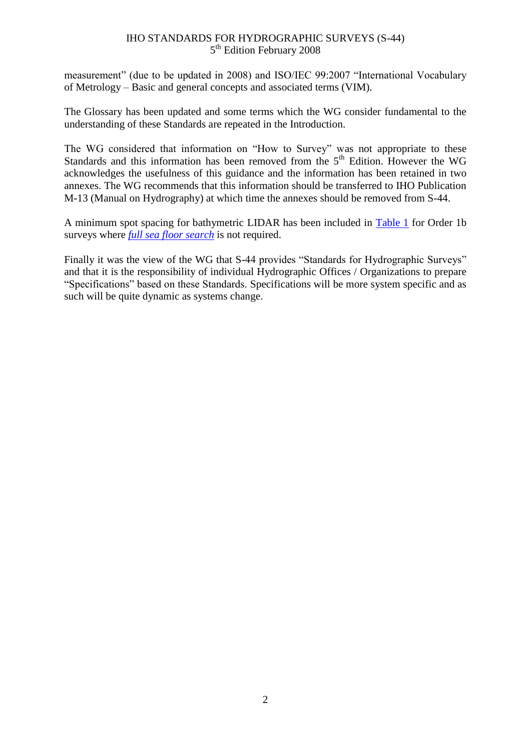measurement" (due to be updated in 2008) and ISO/IEC 99:2007 "International Vocabulary of Metrology – Basic and general concepts and associated terms (VIM).

The Glossary has been updated and some terms which the WG consider fundamental to the understanding of these Standards are repeated in the Introduction.

The WG considered that information on "How to Survey" was not appropriate to these Standards and this information has been removed from the  $5<sup>th</sup>$  Edition. However the WG acknowledges the usefulness of this guidance and the information has been retained in two annexes. The WG recommends that this information should be transferred to IHO Publication M-13 (Manual on Hydrography) at which time the annexes should be removed from S-44.

A minimum spot spacing for bathymetric LIDAR has been included in [Table](#page-22-0) 1 for Order 1b surveys where *[full sea floor search](#page-24-2)* is not required.

Finally it was the view of the WG that S-44 provides "Standards for Hydrographic Surveys" and that it is the responsibility of individual Hydrographic Offices / Organizations to prepare "Specifications" based on these Standards. Specifications will be more system specific and as such will be quite dynamic as systems change.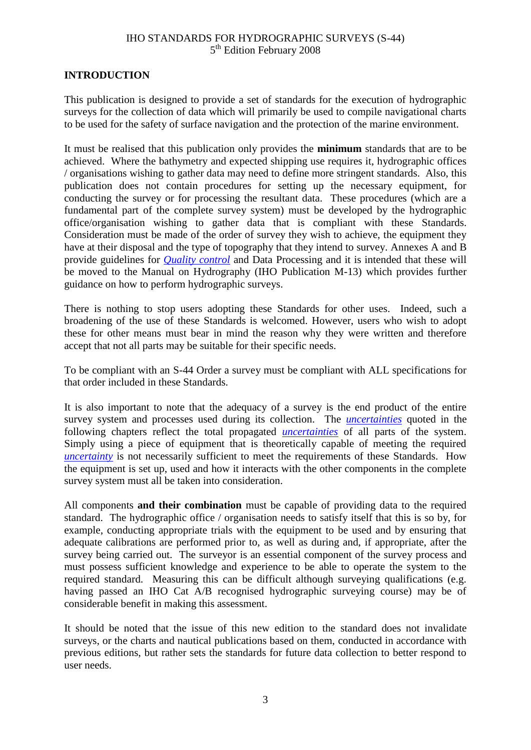### <span id="page-10-0"></span>**INTRODUCTION**

This publication is designed to provide a set of standards for the execution of hydrographic surveys for the collection of data which will primarily be used to compile navigational charts to be used for the safety of surface navigation and the protection of the marine environment.

It must be realised that this publication only provides the **minimum** standards that are to be achieved. Where the bathymetry and expected shipping use requires it, hydrographic offices / organisations wishing to gather data may need to define more stringent standards. Also, this publication does not contain procedures for setting up the necessary equipment, for conducting the survey or for processing the resultant data. These procedures (which are a fundamental part of the complete survey system) must be developed by the hydrographic office/organisation wishing to gather data that is compliant with these Standards. Consideration must be made of the order of survey they wish to achieve, the equipment they have at their disposal and the type of topography that they intend to survey. Annexes A and B provide guidelines for *[Quality control](#page-25-1)* and Data Processing and it is intended that these will be moved to the Manual on Hydrography (IHO Publication M-13) which provides further guidance on how to perform hydrographic surveys.

There is nothing to stop users adopting these Standards for other uses. Indeed, such a broadening of the use of these Standards is welcomed. However, users who wish to adopt these for other means must bear in mind the reason why they were written and therefore accept that not all parts may be suitable for their specific needs.

To be compliant with an S-44 Order a survey must be compliant with ALL specifications for that order included in these Standards.

It is also important to note that the adequacy of a survey is the end product of the entire survey system and processes used during its collection. The *[uncertainties](#page-25-0)* quoted in the following chapters reflect the total propagated *[uncertainties](#page-25-0)* of all parts of the system. Simply using a piece of equipment that is theoretically capable of meeting the required *[uncertainty](#page-25-0)* is not necessarily sufficient to meet the requirements of these Standards. How the equipment is set up, used and how it interacts with the other components in the complete survey system must all be taken into consideration.

All components **and their combination** must be capable of providing data to the required standard. The hydrographic office / organisation needs to satisfy itself that this is so by, for example, conducting appropriate trials with the equipment to be used and by ensuring that adequate calibrations are performed prior to, as well as during and, if appropriate, after the survey being carried out. The surveyor is an essential component of the survey process and must possess sufficient knowledge and experience to be able to operate the system to the required standard. Measuring this can be difficult although surveying qualifications (e.g. having passed an IHO Cat A/B recognised hydrographic surveying course) may be of considerable benefit in making this assessment.

It should be noted that the issue of this new edition to the standard does not invalidate surveys, or the charts and nautical publications based on them, conducted in accordance with previous editions, but rather sets the standards for future data collection to better respond to user needs.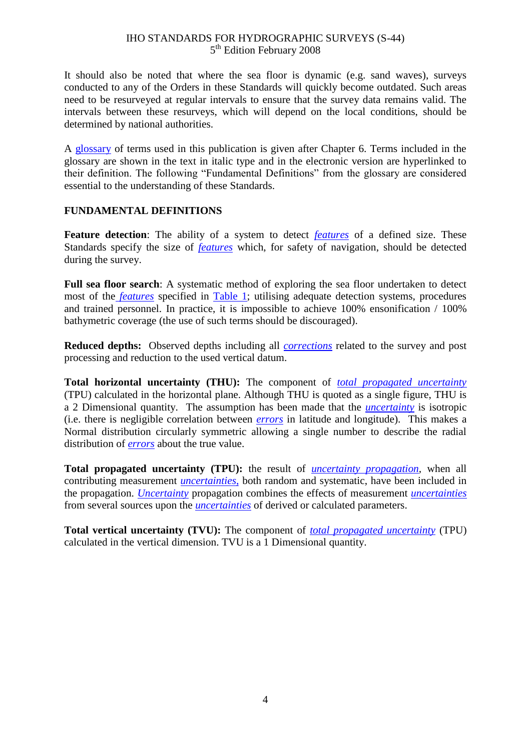It should also be noted that where the sea floor is dynamic (e.g. sand waves), surveys conducted to any of the Orders in these Standards will quickly become outdated. Such areas need to be resurveyed at regular intervals to ensure that the survey data remains valid. The intervals between these resurveys, which will depend on the local conditions, should be determined by national authorities.

A [glossary](#page-24-0) of terms used in this publication is given after Chapter 6. Terms included in the glossary are shown in the text in italic type and in the electronic version are hyperlinked to their definition. The following "Fundamental Definitions" from the glossary are considered essential to the understanding of these Standards.

### **FUNDAMENTAL DEFINITIONS**

**Feature detection**: The ability of a system to detect *[features](#page-24-1)* of a defined size. These Standards specify the size of *[features](#page-24-1)* which, for safety of navigation, should be detected during the survey.

**Full sea floor search**: A systematic method of exploring the sea floor undertaken to detect most of the *[features](#page-24-1)* specified in [Table 1;](#page-22-0) utilising adequate detection systems, procedures and trained personnel. In practice, it is impossible to achieve 100% ensonification / 100% bathymetric coverage (the use of such terms should be discouraged).

**Reduced depths:** Observed depths including all *[corrections](#page-24-5)* related to the survey and post processing and reduction to the used vertical datum.

**Total horizontal uncertainty (THU):** The component of *[total propagated uncertainty](#page-25-2)* (TPU) calculated in the horizontal plane. Although THU is quoted as a single figure, THU is a 2 Dimensional quantity. The assumption has been made that the *[uncertainty](#page-25-0)* is isotropic (i.e. there is negligible correlation between *[errors](#page-24-4)* in latitude and longitude). This makes a Normal distribution circularly symmetric allowing a single number to describe the radial distribution of *[errors](#page-24-4)* about the true value.

**Total propagated uncertainty (TPU):** the result of *uncertainty [propagation,](#page-25-2)* when all contributing measurement *[uncertainties](#page-25-0)*, both random and systematic, have been included in the propagation. *[Uncertainty](#page-25-0)* propagation combines the effects of measurement *[uncertainties](#page-25-0)* from several sources upon the *[uncertainties](#page-25-0)* of derived or calculated parameters.

**Total vertical uncertainty (TVU):** The component of *[total propagated uncertainty](#page-25-2)* (TPU) calculated in the vertical dimension. TVU is a 1 Dimensional quantity.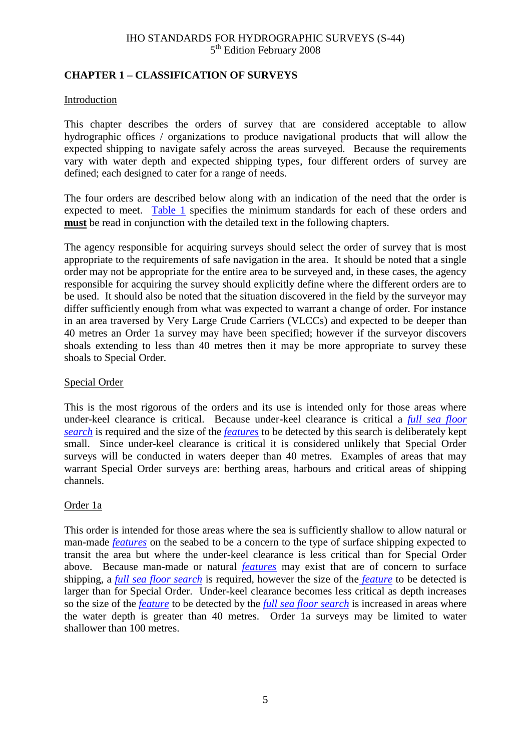### <span id="page-12-1"></span><span id="page-12-0"></span>**CHAPTER 1 – CLASSIFICATION OF SURVEYS**

### Introduction

This chapter describes the orders of survey that are considered acceptable to allow hydrographic offices / organizations to produce navigational products that will allow the expected shipping to navigate safely across the areas surveyed. Because the requirements vary with water depth and expected shipping types, four different orders of survey are defined; each designed to cater for a range of needs.

The four orders are described below along with an indication of the need that the order is expected to meet. [Table 1](#page-22-0) specifies the minimum standards for each of these orders and **must** be read in conjunction with the detailed text in the following chapters.

The agency responsible for acquiring surveys should select the order of survey that is most appropriate to the requirements of safe navigation in the area. It should be noted that a single order may not be appropriate for the entire area to be surveyed and, in these cases, the agency responsible for acquiring the survey should explicitly define where the different orders are to be used. It should also be noted that the situation discovered in the field by the surveyor may differ sufficiently enough from what was expected to warrant a change of order. For instance in an area traversed by Very Large Crude Carriers (VLCCs) and expected to be deeper than 40 metres an Order 1a survey may have been specified; however if the surveyor discovers shoals extending to less than 40 metres then it may be more appropriate to survey these shoals to Special Order.

### Special Order

This is the most rigorous of the orders and its use is intended only for those areas where under-keel clearance is critical. Because under-keel clearance is critical a *[full sea floor](#page-24-2) [search](#page-24-2)* is required and the size of the *[features](#page-24-1)* to be detected by this search is deliberately kept small. Since under-keel clearance is critical it is considered unlikely that Special Order surveys will be conducted in waters deeper than 40 metres. Examples of areas that may warrant Special Order surveys are: berthing areas, harbours and critical areas of shipping channels.

### Order 1a

This order is intended for those areas where the sea is sufficiently shallow to allow natural or man-made *[features](#page-24-1)* on the seabed to be a concern to the type of surface shipping expected to transit the area but where the under-keel clearance is less critical than for Special Order above. Because man-made or natural *[features](#page-24-1)* may exist that are of concern to surface shipping, a *[full sea floor](#page-24-2) search* is required, however the size of the *[feature](#page-24-1)* to be detected is larger than for Special Order. Under-keel clearance becomes less critical as depth increases so the size of the *[feature](#page-24-1)* to be detected by the *[full sea floor](#page-24-2) search* is increased in areas where the water depth is greater than 40 metres. Order 1a surveys may be limited to water shallower than 100 metres.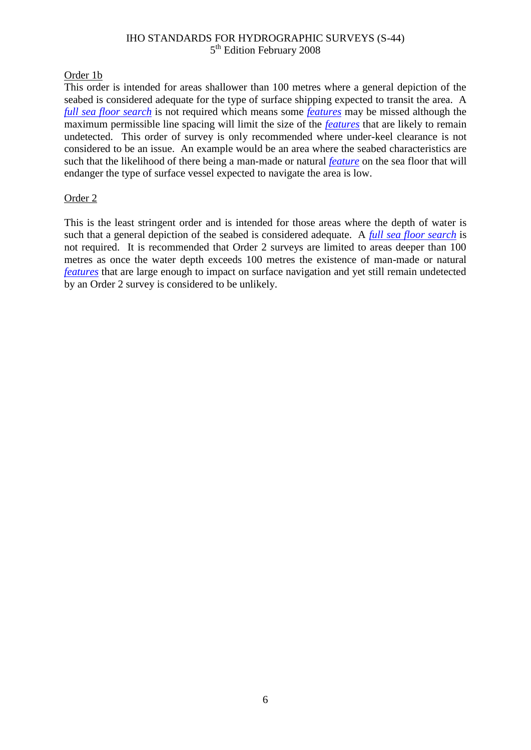### Order 1b

This order is intended for areas shallower than 100 metres where a general depiction of the seabed is considered adequate for the type of surface shipping expected to transit the area. A *[full sea floor](#page-24-2) search* is not required which means some *[features](#page-24-1)* may be missed although the maximum permissible line spacing will limit the size of the *[features](#page-24-1)* that are likely to remain undetected. This order of survey is only recommended where under-keel clearance is not considered to be an issue. An example would be an area where the seabed characteristics are such that the likelihood of there being a man-made or natural *[feature](#page-24-1)* on the sea floor that will endanger the type of surface vessel expected to navigate the area is low.

### Order 2

This is the least stringent order and is intended for those areas where the depth of water is such that a general depiction of the seabed is considered adequate. A *[full sea floor](#page-24-2) search* is not required. It is recommended that Order 2 surveys are limited to areas deeper than 100 metres as once the water depth exceeds 100 metres the existence of man-made or natural *[features](#page-24-1)* that are large enough to impact on surface navigation and yet still remain undetected by an Order 2 survey is considered to be unlikely.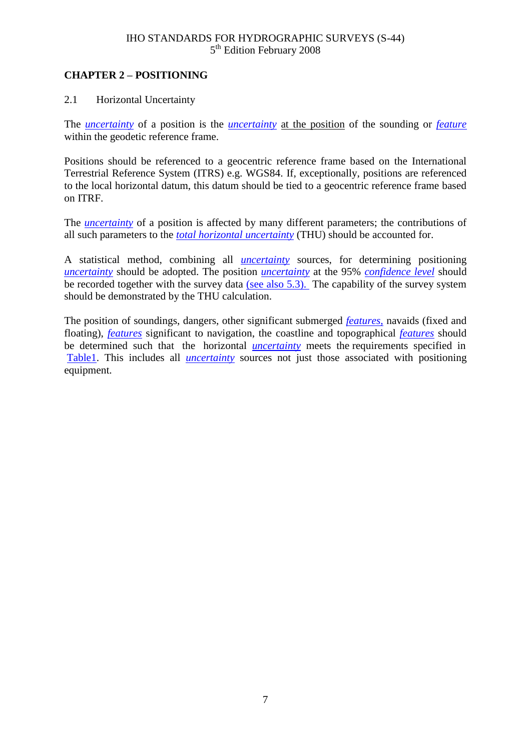### <span id="page-14-2"></span><span id="page-14-1"></span><span id="page-14-0"></span>**CHAPTER 2 – POSITIONING**

### 2.1 Horizontal Uncertainty

The *[uncertainty](#page-25-0)* of a position is the *[uncertainty](#page-25-0)* at the position of the sounding or *[feature](#page-24-1)* within the geodetic reference frame.

Positions should be referenced to a geocentric reference frame based on the International Terrestrial Reference System (ITRS) e.g. WGS84. If, exceptionally, positions are referenced to the local horizontal datum, this datum should be tied to a geocentric reference frame based on ITRF.

The *[uncertainty](#page-25-0)* of a position is affected by many different parameters; the contributions of all such parameters to the *[total horizontal uncertainty](#page-25-3)* (THU) should be accounted for.

A statistical method, combining all *[uncertainty](#page-25-0)* sources, for determining positioning *[uncertainty](#page-25-0)* should be adopted. The position *[uncertainty](#page-25-0)* at the 95% *[confidence level](#page-24-6)* should be recorded together with the survey data [\(see also 5.3\).](#page-19-1) The capability of the survey system should be demonstrated by the THU calculation.

The position of soundings, dangers, other significant submerged *[features](#page-24-1)*, navaids (fixed and floating), *[features](#page-24-1)* significant to navigation, the coastline and topographical *[features](#page-24-1)* should be determined such that the horizontal *[uncertainty](#page-25-0)* meets the requirements specified in [Table1.](#page-22-0) This includes all *[uncertainty](#page-25-0)* sources not just those associated with positioning equipment.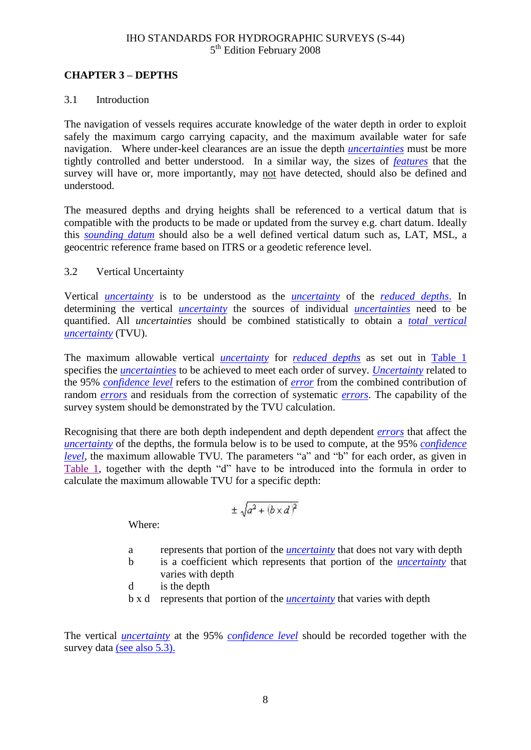### <span id="page-15-1"></span><span id="page-15-0"></span>**CHAPTER 3 – DEPTHS**

### 3.1 Introduction

The navigation of vessels requires accurate knowledge of the water depth in order to exploit safely the maximum cargo carrying capacity, and the maximum available water for safe navigation. Where under-keel clearances are an issue the depth *[uncertainties](#page-25-0)* must be more tightly controlled and better understood. In a similar way, the sizes of *[features](#page-24-1)* that the survey will have or, more importantly, may not have detected, should also be defined and understood.

The measured depths and drying heights shall be referenced to a vertical datum that is compatible with the products to be made or updated from the survey e.g. chart datum. Ideally this *[sounding datum](#page-25-4)* should also be a well defined vertical datum such as, LAT, MSL, a geocentric reference frame based on ITRS or a geodetic reference level.

### 3.2 Vertical Uncertainty

Vertical *[uncertainty](#page-25-0)* is to be understood as the *[uncertainty](#page-25-0)* of the *[reduced depths](#page-25-5)*. In determining the vertical *[uncertainty](#page-25-0)* the sources of individual *[uncertainties](#page-25-0)* need to be quantified. All *uncertainties* should be combined statistically to obtain a *[total vertical](#page-25-6)  [uncertainty](#page-25-6)* (TVU).

The maximum allowable vertical *[uncertainty](#page-25-0)* for *[reduced depths](#page-25-5)* as set out in [Table 1](#page-22-0) specifies the *[uncertainties](#page-25-0)* to be achieved to meet each order of survey. *[Uncertainty](#page-25-0)* related to the 95% *[confidence level](#page-24-6)* refers to the estimation of *[error](#page-24-4)* from the combined contribution of random *[errors](#page-24-4)* and residuals from the correction of systematic *[errors](#page-24-4)*. The capability of the survey system should be demonstrated by the TVU calculation.

Recognising that there are both depth independent and depth dependent *[errors](#page-24-4)* that affect the *[uncertainty](#page-25-0)* of the depths, the formula below is to be used to compute, at the 95% *[confidence](#page-24-6)  [level](#page-24-6)*, the maximum allowable TVU*.* The parameters "a" and "b" for each order, as given in [Table 1,](#page-22-0) together with the depth "d" have to be introduced into the formula in order to calculate the maximum allowable TVU for a specific depth:

$$
\pm\,\sqrt{a^2+(b\times d)^2}
$$

Where:

- a represents that portion of the *[uncertainty](#page-25-0)* that does not vary with depth
- b is a coefficient which represents that portion of the *[uncertainty](#page-25-0)* that varies with depth
- d is the depth
- b x d represents that portion of the *[uncertainty](#page-25-0)* that varies with depth

The vertical *[uncertainty](#page-25-0)* at the 95% *[confidence level](#page-24-6)* should be recorded together with the survey data (see also 5.3).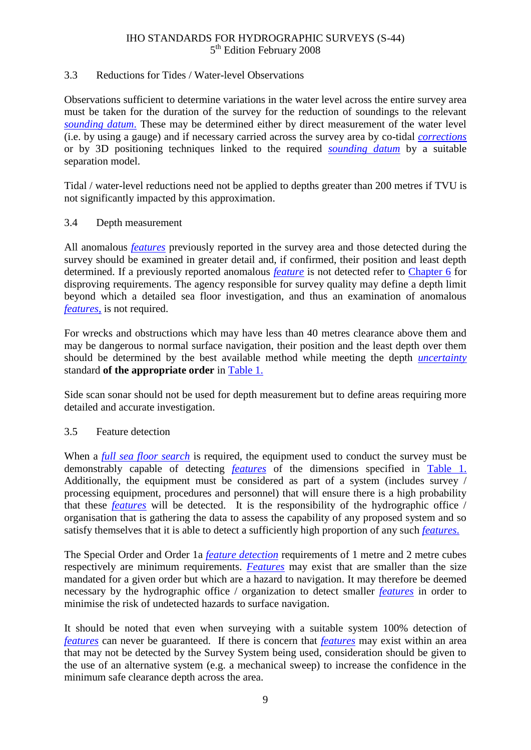### <span id="page-16-0"></span>3.3 Reductions for Tides / Water-level Observations

Observations sufficient to determine variations in the water level across the entire survey area must be taken for the duration of the survey for the reduction of soundings to the relevant *[sounding datum](#page-25-4)*. These may be determined either by direct measurement of the water level (i.e. by using a gauge) and if necessary carried across the survey area by co-tidal *[corrections](#page-24-5)* or by 3D positioning techniques linked to the required *[sounding datum](#page-25-4)* by a suitable separation model.

Tidal / water-level reductions need not be applied to depths greater than 200 metres if TVU is not significantly impacted by this approximation.

### <span id="page-16-1"></span>3.4 Depth measurement

All anomalous *[features](#page-24-1)* previously reported in the survey area and those detected during the survey should be examined in greater detail and, if confirmed, their position and least depth determined. If a previously reported anomalous *[feature](#page-24-1)* is not detected refer to [Chapter 6](#page-21-0) for disproving requirements. The agency responsible for survey quality may define a depth limit beyond which a detailed sea floor investigation, and thus an examination of anomalous *[features](#page-24-1)*, is not required.

For wrecks and obstructions which may have less than 40 metres clearance above them and may be dangerous to normal surface navigation, their position and the least depth over them should be determined by the best available method while meeting the depth *[uncertainty](#page-25-0)* standard **of the appropriate order** in [Table 1.](#page-22-0)

Side scan sonar should not be used for depth measurement but to define areas requiring more detailed and accurate investigation.

### 3.5 Feature detection

When a *[full sea floor search](#page-24-2)* is required, the equipment used to conduct the survey must be demonstrably capable of detecting *[features](#page-24-1)* of the dimensions specified in [Table](#page-22-0) 1. Additionally, the equipment must be considered as part of a system (includes survey / processing equipment, procedures and personnel) that will ensure there is a high probability that these *[features](#page-24-1)* will be detected. It is the responsibility of the hydrographic office / organisation that is gathering the data to assess the capability of any proposed system and so satisfy themselves that it is able to detect a sufficiently high proportion of any such *[features](#page-24-1)*.

The Special Order and Order 1a *[feature detection](#page-24-7)* requirements of 1 metre and 2 metre cubes respectively are minimum requirements. *[Features](#page-24-1)* may exist that are smaller than the size mandated for a given order but which are a hazard to navigation. It may therefore be deemed necessary by the hydrographic office / organization to detect smaller *[features](#page-24-1)* in order to minimise the risk of undetected hazards to surface navigation.

It should be noted that even when surveying with a suitable system 100% detection of *[features](#page-24-1)* can never be guaranteed. If there is concern that *[features](#page-24-1)* may exist within an area that may not be detected by the Survey System being used, consideration should be given to the use of an alternative system (e.g. a mechanical sweep) to increase the confidence in the minimum safe clearance depth across the area.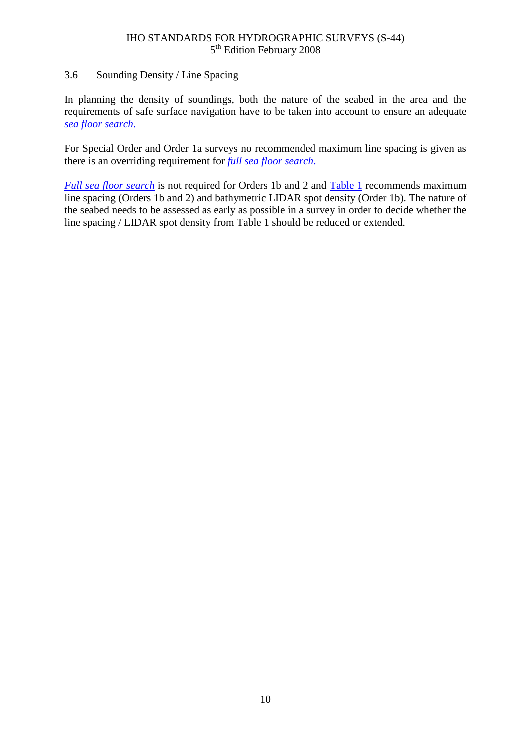### <span id="page-17-0"></span>3.6 Sounding Density / Line Spacing

In planning the density of soundings, both the nature of the seabed in the area and the requirements of safe surface navigation have to be taken into account to ensure an adequate *[sea floor](#page-25-7) search*.

For Special Order and Order 1a surveys no recommended maximum line spacing is given as there is an overriding requirement for *[full sea floor](#page-24-2) search*.

*[Full sea floor](#page-24-2) search* is not required for Orders 1b and 2 and [Table 1](#page-22-0) recommends maximum line spacing (Orders 1b and 2) and bathymetric LIDAR spot density (Order 1b). The nature of the seabed needs to be assessed as early as possible in a survey in order to decide whether the line spacing / LIDAR spot density from Table 1 should be reduced or extended.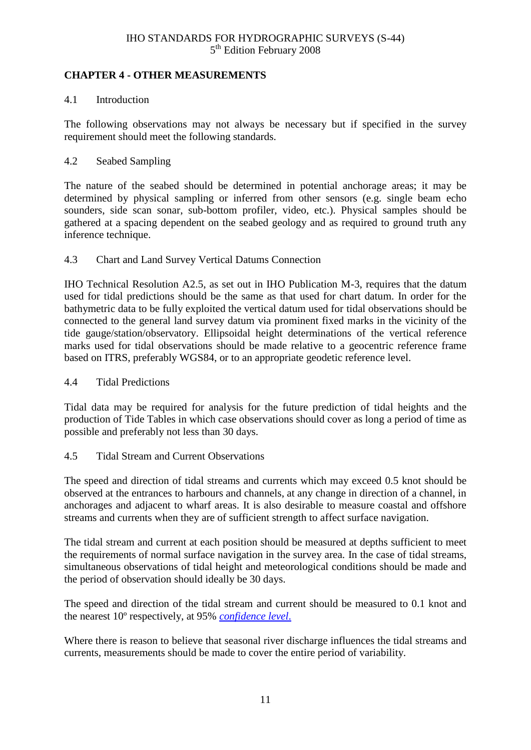### <span id="page-18-0"></span>**CHAPTER 4 - OTHER MEASUREMENTS**

### 4.1 Introduction

The following observations may not always be necessary but if specified in the survey requirement should meet the following standards.

### 4.2 Seabed Sampling

The nature of the seabed should be determined in potential anchorage areas; it may be determined by physical sampling or inferred from other sensors (e.g. single beam echo sounders, side scan sonar, sub-bottom profiler, video, etc.). Physical samples should be gathered at a spacing dependent on the seabed geology and as required to ground truth any inference technique.

### 4.3 Chart and Land Survey Vertical Datums Connection

IHO Technical Resolution A2.5, as set out in IHO Publication M-3, requires that the datum used for tidal predictions should be the same as that used for chart datum. In order for the bathymetric data to be fully exploited the vertical datum used for tidal observations should be connected to the general land survey datum via prominent fixed marks in the vicinity of the tide gauge/station/observatory. Ellipsoidal height determinations of the vertical reference marks used for tidal observations should be made relative to a geocentric reference frame based on ITRS, preferably WGS84, or to an appropriate geodetic reference level.

### 4.4 Tidal Predictions

Tidal data may be required for analysis for the future prediction of tidal heights and the production of Tide Tables in which case observations should cover as long a period of time as possible and preferably not less than 30 days.

### 4.5 Tidal Stream and Current Observations

The speed and direction of tidal streams and currents which may exceed 0.5 knot should be observed at the entrances to harbours and channels, at any change in direction of a channel, in anchorages and adjacent to wharf areas. It is also desirable to measure coastal and offshore streams and currents when they are of sufficient strength to affect surface navigation.

The tidal stream and current at each position should be measured at depths sufficient to meet the requirements of normal surface navigation in the survey area. In the case of tidal streams, simultaneous observations of tidal height and meteorological conditions should be made and the period of observation should ideally be 30 days.

The speed and direction of the tidal stream and current should be measured to 0.1 knot and the nearest 10º respectively, at 95% *[confidence level](#page-24-6)*.

Where there is reason to believe that seasonal river discharge influences the tidal streams and currents, measurements should be made to cover the entire period of variability.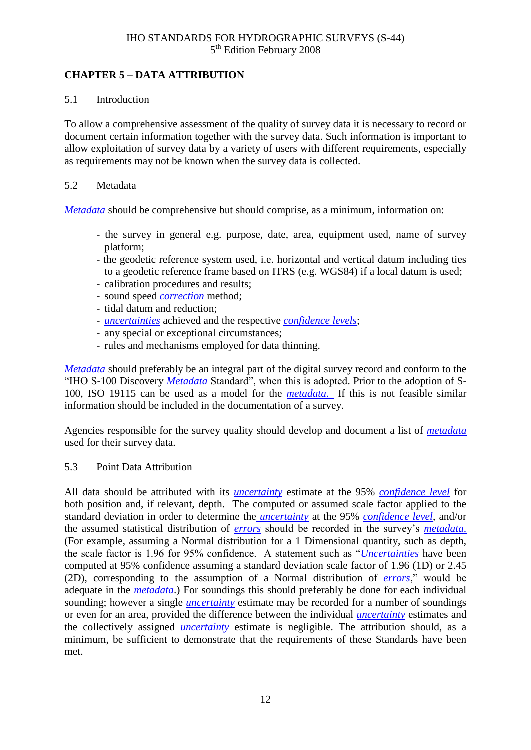### <span id="page-19-0"></span>**CHAPTER 5 – DATA ATTRIBUTION**

### 5.1 Introduction

To allow a comprehensive assessment of the quality of survey data it is necessary to record or document certain information together with the survey data. Such information is important to allow exploitation of survey data by a variety of users with different requirements, especially as requirements may not be known when the survey data is collected.

### 5.2 Metadata

*[Metadata](#page-25-8)* should be comprehensive but should comprise, as a minimum, information on:

- the survey in general e.g. purpose, date, area, equipment used, name of survey platform;
- the geodetic reference system used, i.e. horizontal and vertical datum including ties to a geodetic reference frame based on ITRS (e.g. WGS84) if a local datum is used;
- calibration procedures and results;
- sound speed *[correction](#page-24-5)* method;
- tidal datum and reduction;
- *[uncertainties](#page-25-0)* achieved and the respective *[confidence levels](#page-24-6)*;
- any special or exceptional circumstances;
- rules and mechanisms employed for data thinning.

*[Metadata](#page-25-8)* should preferably be an integral part of the digital survey record and conform to the "IHO S-100 Discovery *[Metadata](#page-25-8)* Standard", when this is adopted. Prior to the adoption of S-100, ISO 19115 can be used as a model for the *[metadata](#page-25-8)*. If this is not feasible similar information should be included in the documentation of a survey.

Agencies responsible for the survey quality should develop and document a list of *[metadata](#page-25-8)* used for their survey data.

### <span id="page-19-1"></span>5.3 Point Data Attribution

All data should be attributed with its *[uncertainty](#page-25-0)* estimate at the 95% *[confidence level](#page-24-6)* for both position and, if relevant, depth. The computed or assumed scale factor applied to the standard deviation in order to determine the *[uncertainty](#page-25-0)* at the 95% *[confidence level](#page-24-6)*, and/or the assumed statistical distribution of *[errors](#page-24-4)* should be recorded in the survey"s *[metadata](#page-25-8)*. (For example, assuming a Normal distribution for a 1 Dimensional quantity, such as depth, the scale factor is 1.96 for 95% confidence. A statement such as "*[Uncertainties](#page-25-0)* have been computed at 95% confidence assuming a standard deviation scale factor of 1.96 (1D) or 2.45 (2D), corresponding to the assumption of a Normal distribution of *[errors](#page-24-4)*," would be adequate in the *[metadata](#page-25-8)*.) For soundings this should preferably be done for each individual sounding; however a single *[uncertainty](#page-25-0)* estimate may be recorded for a number of soundings or even for an area, provided the difference between the individual *[uncertainty](#page-25-0)* estimates and the collectively assigned *[uncertainty](#page-25-0)* estimate is negligible. The attribution should, as a minimum, be sufficient to demonstrate that the requirements of these Standards have been met.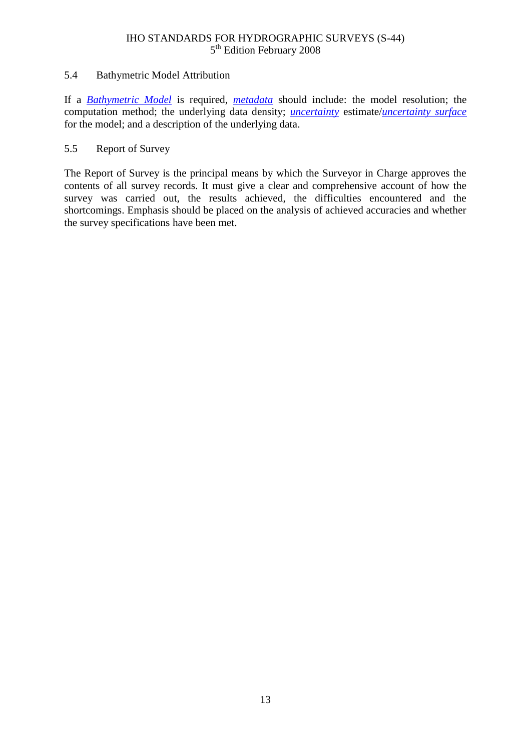### 5.4 Bathymetric Model Attribution

If a *[Bathymetric Model](#page-24-8)* is required, *[metadata](#page-25-8)* should include: the model resolution; the computation method; the underlying data density; *[uncertainty](#page-25-0)* estimate/*[uncertainty surface](#page-26-0)* for the model; and a description of the underlying data.

### 5.5 Report of Survey

The Report of Survey is the principal means by which the Surveyor in Charge approves the contents of all survey records. It must give a clear and comprehensive account of how the survey was carried out, the results achieved, the difficulties encountered and the shortcomings. Emphasis should be placed on the analysis of achieved accuracies and whether the survey specifications have been met.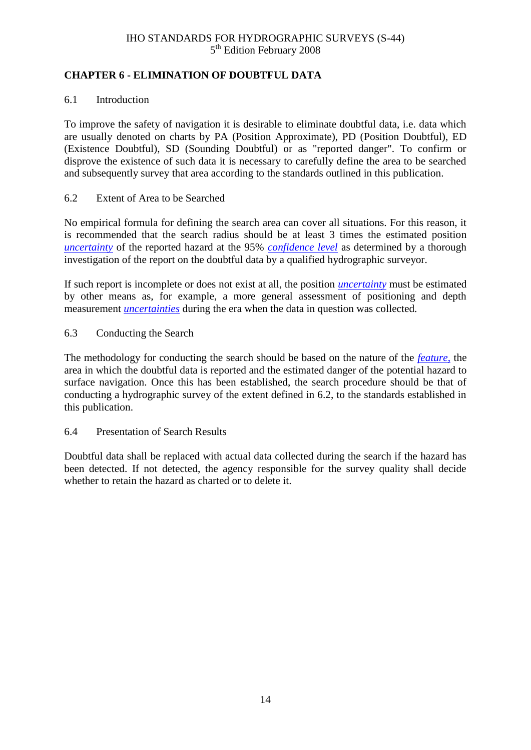### <span id="page-21-0"></span>**CHAPTER 6 - ELIMINATION OF DOUBTFUL DATA**

### 6.1 Introduction

To improve the safety of navigation it is desirable to eliminate doubtful data, i.e. data which are usually denoted on charts by PA (Position Approximate), PD (Position Doubtful), ED (Existence Doubtful), SD (Sounding Doubtful) or as "reported danger". To confirm or disprove the existence of such data it is necessary to carefully define the area to be searched and subsequently survey that area according to the standards outlined in this publication.

### 6.2 Extent of Area to be Searched

No empirical formula for defining the search area can cover all situations. For this reason, it is recommended that the search radius should be at least 3 times the estimated position *[uncertainty](#page-25-0)* of the reported hazard at the 95% *[confidence level](#page-24-6)* as determined by a thorough investigation of the report on the doubtful data by a qualified hydrographic surveyor.

If such report is incomplete or does not exist at all, the position *[uncertainty](#page-25-0)* must be estimated by other means as, for example, a more general assessment of positioning and depth measurement *[uncertainties](#page-25-0)* during the era when the data in question was collected.

6.3 Conducting the Search

The methodology for conducting the search should be based on the nature of the *[feature](#page-24-1)*, the area in which the doubtful data is reported and the estimated danger of the potential hazard to surface navigation. Once this has been established, the search procedure should be that of conducting a hydrographic survey of the extent defined in 6.2, to the standards established in this publication.

### 6.4 Presentation of Search Results

Doubtful data shall be replaced with actual data collected during the search if the hazard has been detected. If not detected, the agency responsible for the survey quality shall decide whether to retain the hazard as charted or to delete it.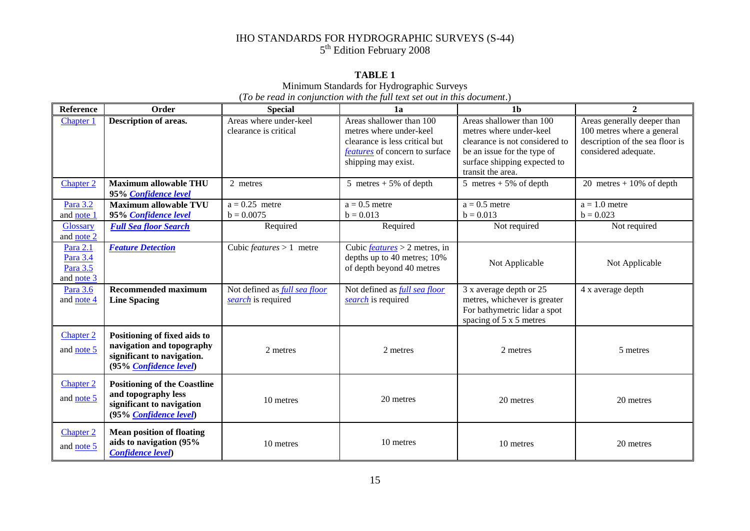### **TABLE 1**

Minimum Standards for Hydrographic Surveys

(*To be read in conjunction with the full text set out in this document*.)

<span id="page-22-0"></span>

| <b>Reference</b> | Order                               | <b>Special</b>                       | 1a                                    | 1 <sub>b</sub>                 | $\mathbf{2}$                    |
|------------------|-------------------------------------|--------------------------------------|---------------------------------------|--------------------------------|---------------------------------|
| Chapter 1        | Description of areas.               | Areas where under-keel               | Areas shallower than 100              | Areas shallower than 100       | Areas generally deeper than     |
|                  |                                     | clearance is critical                | metres where under-keel               | metres where under-keel        | 100 metres where a general      |
|                  |                                     |                                      | clearance is less critical but        | clearance is not considered to | description of the sea floor is |
|                  |                                     |                                      | <i>features</i> of concern to surface | be an issue for the type of    | considered adequate.            |
|                  |                                     |                                      | shipping may exist.                   | surface shipping expected to   |                                 |
|                  |                                     |                                      |                                       | transit the area.              |                                 |
| Chapter 2        | <b>Maximum allowable THU</b>        | 2 metres                             | 5 metres $+5\%$ of depth              | 5 metres $+5\%$ of depth       | 20 metres $+10\%$ of depth      |
|                  | 95% Confidence level                |                                      |                                       |                                |                                 |
| Para 3.2         | <b>Maximum allowable TVU</b>        | $a = 0.25$ metre                     | $a = 0.5$ metre                       | $a = 0.5$ metre                | $a = 1.0$ metre                 |
| and note 1       | 95% Confidence level                | $b = 0.0075$                         | $b = 0.013$                           | $b = 0.013$                    | $b = 0.023$                     |
| <b>Glossary</b>  | <b>Full Sea floor Search</b>        | Required                             | Required                              | Not required                   | Not required                    |
| and note 2       |                                     |                                      |                                       |                                |                                 |
| Para 2.1         | <b>Feature Detection</b>            | Cubic <i>features</i> $> 1$ metre    | Cubic $features > 2$ metres, in       |                                |                                 |
| Para 3.4         |                                     |                                      | depths up to 40 metres; 10%           | Not Applicable                 | Not Applicable                  |
| Para 3.5         |                                     |                                      | of depth beyond 40 metres             |                                |                                 |
| and note 3       |                                     |                                      |                                       |                                |                                 |
| Para 3.6         | <b>Recommended maximum</b>          | Not defined as <i>full sea floor</i> | Not defined as <i>full sea floor</i>  | 3 x average depth or 25        | 4 x average depth               |
| and note 4       | <b>Line Spacing</b>                 | search is required                   | search is required                    | metres, whichever is greater   |                                 |
|                  |                                     |                                      |                                       | For bathymetric lidar a spot   |                                 |
|                  |                                     |                                      |                                       | spacing of 5 x 5 metres        |                                 |
| Chapter 2        | Positioning of fixed aids to        |                                      |                                       |                                |                                 |
|                  | navigation and topography           |                                      |                                       |                                |                                 |
| and note 5       | significant to navigation.          | 2 metres                             | 2 metres                              | 2 metres                       | 5 metres                        |
|                  | (95% Confidence level)              |                                      |                                       |                                |                                 |
|                  |                                     |                                      |                                       |                                |                                 |
| <b>Chapter 2</b> | <b>Positioning of the Coastline</b> |                                      |                                       |                                |                                 |
| and note 5       | and topography less                 | 10 metres                            | 20 metres                             | 20 metres                      | 20 metres                       |
|                  | significant to navigation           |                                      |                                       |                                |                                 |
|                  | (95% Confidence level)              |                                      |                                       |                                |                                 |
| Chapter 2        | <b>Mean position of floating</b>    |                                      |                                       |                                |                                 |
|                  | aids to navigation (95%             | 10 metres                            | 10 metres                             | 10 metres                      | 20 metres                       |
| and note 5       | <b>Confidence level)</b>            |                                      |                                       |                                |                                 |
|                  |                                     |                                      |                                       |                                |                                 |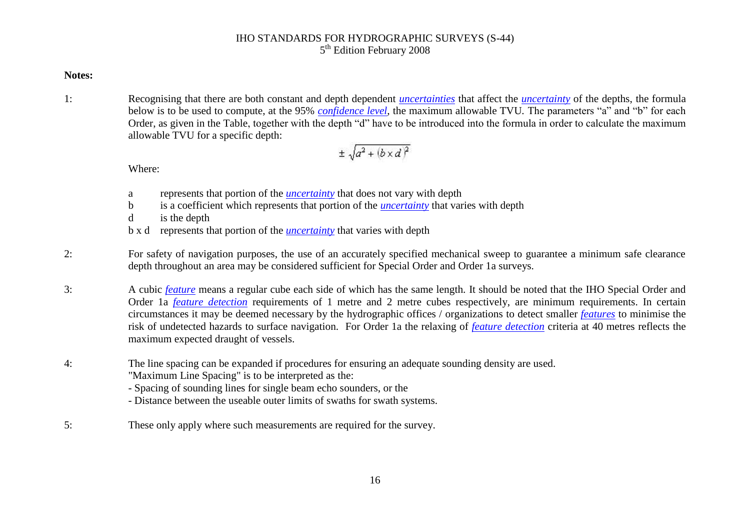### **Notes:**

<span id="page-23-0"></span>1: Recognising that there are both constant and depth dependent *[uncertainties](#page-25-9)* that affect the *[uncertainty](#page-25-9)* of the depths, the formula below is to be used to compute, at the 95% *[confidence level](#page-24-10)*, the maximum allowable TVU*.* The parameters "a" and "b" for each Order, as given in the Table, together with the depth "d" have to be introduced into the formula in order to calculate the maximum allowable TVU for a specific depth:

$$
\pm \sqrt{a^2 + (b \times d)^2}
$$

Where:

- a represents that portion of the *[uncertainty](#page-25-9)* that does not vary with depth
- b is a coefficient which represents that portion of the *[uncertainty](#page-25-9)* that varies with depth
- d is the depth
- b x d represents that portion of the *[uncertainty](#page-25-9)* that varies with depth
- <span id="page-23-1"></span>2: For safety of navigation purposes, the use of an accurately specified mechanical sweep to guarantee a minimum safe clearance depth throughout an area may be considered sufficient for Special Order and Order 1a surveys.
- <span id="page-23-2"></span>3: A cubic *[feature](#page-24-9)* means a regular cube each side of which has the same length. It should be noted that the IHO Special Order and Order 1a *[feature detection](#page-24-13)* requirements of 1 metre and 2 metre cubes respectively, are minimum requirements. In certain circumstances it may be deemed necessary by the hydrographic offices / organizations to detect smaller *[features](#page-24-9)* to minimise the risk of undetected hazards to surface navigation. For Order 1a the relaxing of *[feature detection](#page-24-13)* criteria at 40 metres reflects the maximum expected draught of vessels.
- <span id="page-23-3"></span>4: The line spacing can be expanded if procedures for ensuring an adequate sounding density are used.
	- "Maximum Line Spacing" is to be interpreted as the:
	- Spacing of sounding lines for single beam echo sounders, or the
	- Distance between the useable outer limits of swaths for swath systems.
- <span id="page-23-4"></span>5: These only apply where such measurements are required for the survey.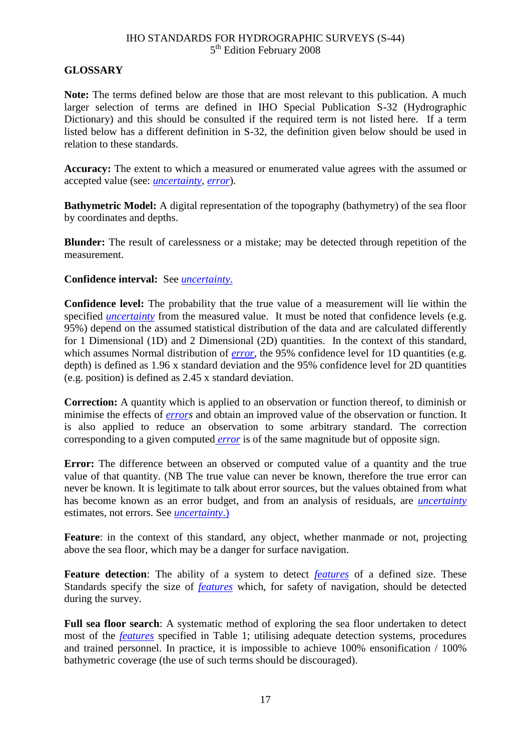### <span id="page-24-11"></span><span id="page-24-0"></span>**GLOSSARY**

<span id="page-24-10"></span>**Note:** The terms defined below are those that are most relevant to this publication. A much larger selection of terms are defined in IHO Special Publication S-32 (Hydrographic Dictionary) and this should be consulted if the required term is not listed here. If a term listed below has a different definition in S-32, the definition given below should be used in relation to these standards.

<span id="page-24-3"></span>**Accuracy:** The extent to which a measured or enumerated value agrees with the assumed or accepted value (see: *[uncertainty](#page-25-0)*, *[error](#page-24-4)*).

<span id="page-24-8"></span>**Bathymetric Model:** A digital representation of the topography (bathymetry) of the sea floor by coordinates and depths.

<span id="page-24-15"></span>**Blunder:** The result of carelessness or a mistake; may be detected through repetition of the measurement.

### <span id="page-24-14"></span>**Confidence interval:** See *[uncertainty](#page-25-0)*.

<span id="page-24-9"></span><span id="page-24-6"></span>**Confidence level:** The probability that the true value of a measurement will lie within the specified *[uncertainty](#page-25-0)* from the measured value. It must be noted that confidence levels (e.g. 95%) depend on the assumed statistical distribution of the data and are calculated differently for 1 Dimensional (1D) and 2 Dimensional (2D) quantities. In the context of this standard, which assumes Normal distribution of *[error](#page-24-4)*, the 95% confidence level for 1D quantities (e.g. depth) is defined as 1.96 x standard deviation and the 95% confidence level for 2D quantities (e.g. position) is defined as 2.45 x standard deviation.

<span id="page-24-13"></span><span id="page-24-12"></span><span id="page-24-5"></span>**Correction:** A quantity which is applied to an observation or function thereof, to diminish or minimise the effects of *[errors](#page-24-4)* and obtain an improved value of the observation or function. It is also applied to reduce an observation to some arbitrary standard. The correction corresponding to a given computed *[error](#page-24-4)* is of the same magnitude but of opposite sign.

<span id="page-24-4"></span>**Error:** The difference between an observed or computed value of a quantity and the true value of that quantity. (NB The true value can never be known, therefore the true error can never be known. It is legitimate to talk about error sources, but the values obtained from what has become known as an error budget, and from an analysis of residuals, are *[uncertainty](#page-25-0)* estimates, not errors. See *[uncertainty](#page-25-0)*.)

<span id="page-24-1"></span>**Feature:** in the context of this standard, any object, whether manmade or not, projecting above the sea floor, which may be a danger for surface navigation.

<span id="page-24-7"></span>**Feature detection**: The ability of a system to detect *[features](#page-24-1)* of a defined size. These Standards specify the size of *[features](#page-24-1)* which, for safety of navigation, should be detected during the survey.

<span id="page-24-2"></span>**Full sea floor search**: A systematic method of exploring the sea floor undertaken to detect most of the *[features](#page-24-1)* specified in Table 1; utilising adequate detection systems, procedures and trained personnel. In practice, it is impossible to achieve 100% ensonification / 100% bathymetric coverage (the use of such terms should be discouraged).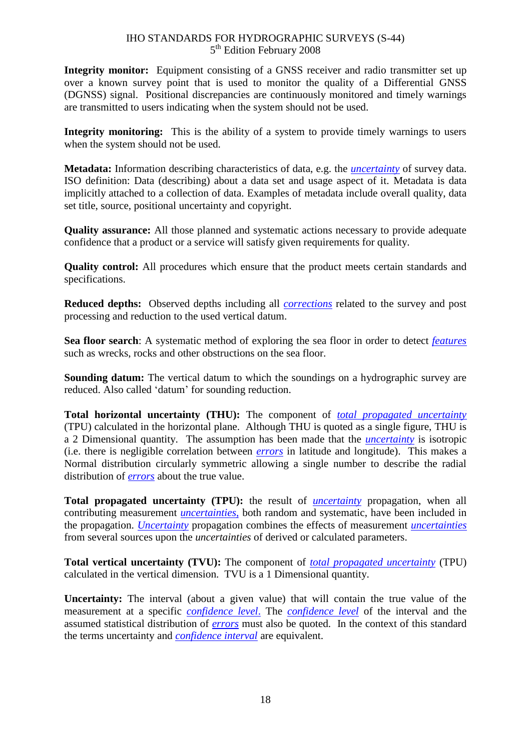**Integrity monitor:** Equipment consisting of a GNSS receiver and radio transmitter set up over a known survey point that is used to monitor the quality of a Differential GNSS (DGNSS) signal. Positional discrepancies are continuously monitored and timely warnings are transmitted to users indicating when the system should not be used.

<span id="page-25-10"></span>**Integrity monitoring:** This is the ability of a system to provide timely warnings to users when the system should not be used.

<span id="page-25-8"></span>**Metadata:** Information describing characteristics of data, e.g. the *[uncertainty](#page-25-0)* of survey data. ISO definition: Data (describing) about a data set and usage aspect of it. Metadata is data implicitly attached to a collection of data. Examples of metadata include overall quality, data set title, source, positional uncertainty and copyright.

**Quality assurance:** All those planned and systematic actions necessary to provide adequate confidence that a product or a service will satisfy given requirements for quality.

<span id="page-25-1"></span>**Quality control:** All procedures which ensure that the product meets certain standards and specifications.

<span id="page-25-5"></span>**Reduced depths:** Observed depths including all *[corrections](#page-24-5)* related to the survey and post processing and reduction to the used vertical datum.

<span id="page-25-7"></span>**Sea floor search**: A systematic method of exploring the sea floor in order to detect *[features](#page-24-1)* such as wrecks, rocks and other obstructions on the sea floor.

<span id="page-25-9"></span><span id="page-25-4"></span>**Sounding datum:** The vertical datum to which the soundings on a hydrographic survey are reduced. Also called "datum" for sounding reduction.

<span id="page-25-3"></span>**Total horizontal uncertainty (THU):** The component of *[total propagated uncertainty](#page-25-2)* (TPU) calculated in the horizontal plane. Although THU is quoted as a single figure, THU is a 2 Dimensional quantity. The assumption has been made that the *[uncertainty](#page-25-0)* is isotropic (i.e. there is negligible correlation between *[errors](#page-24-4)* in latitude and longitude). This makes a Normal distribution circularly symmetric allowing a single number to describe the radial distribution of *[errors](#page-24-4)* about the true value.

<span id="page-25-2"></span>**Total propagated uncertainty (TPU):** the result of *[uncertainty](#page-25-0)* propagation, when all contributing measurement *[uncertainties](#page-25-0)*, both random and systematic, have been included in the propagation. *[Uncertainty](#page-25-0)* propagation combines the effects of measurement *[uncertainties](#page-25-0)* from several sources upon the *uncertainties* of derived or calculated parameters.

<span id="page-25-6"></span>**Total vertical uncertainty (TVU):** The component of *[total propagated uncertainty](#page-25-2)* (TPU) calculated in the vertical dimension. TVU is a 1 Dimensional quantity.

<span id="page-25-0"></span>**Uncertainty:** The interval (about a given value) that will contain the true value of the measurement at a specific *[confidence level](#page-24-6)*. The *[confidence level](#page-24-6)* of the interval and the assumed statistical distribution of *[errors](#page-24-4)* must also be quoted. In the context of this standard the terms uncertainty and *[confidence interval](#page-24-14)* are equivalent.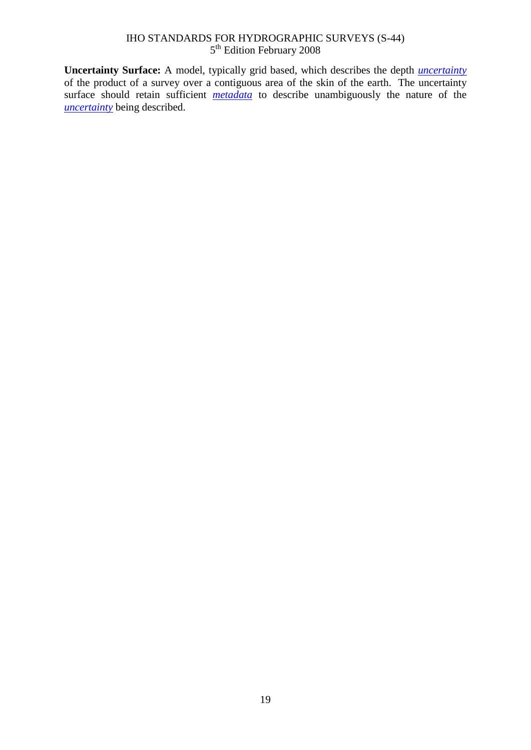<span id="page-26-0"></span>**Uncertainty Surface:** A model, typically grid based, which describes the depth *[uncertainty](#page-25-0)* of the product of a survey over a contiguous area of the skin of the earth. The uncertainty surface should retain sufficient *[metadata](#page-25-8)* to describe unambiguously the nature of the *[uncertainty](#page-25-0)* being described.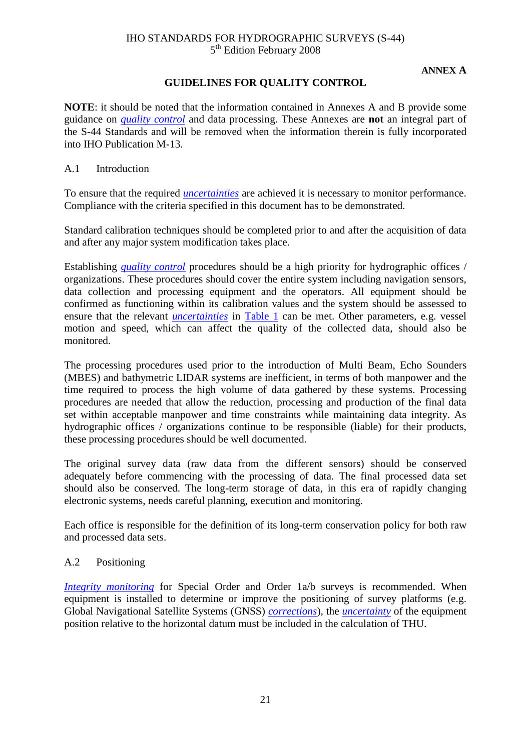### **ANNEX A**

### **GUIDELINES FOR QUALITY CONTROL**

<span id="page-28-0"></span>**NOTE**: it should be noted that the information contained in Annexes A and B provide some guidance on *[quality control](#page-25-1)* and data processing. These Annexes are **not** an integral part of the S-44 Standards and will be removed when the information therein is fully incorporated into IHO Publication M-13.

A.1 Introduction

To ensure that the required *[uncertainties](#page-25-0)* are achieved it is necessary to monitor performance. Compliance with the criteria specified in this document has to be demonstrated.

Standard calibration techniques should be completed prior to and after the acquisition of data and after any major system modification takes place.

Establishing *[quality control](#page-25-1)* procedures should be a high priority for hydrographic offices / organizations. These procedures should cover the entire system including navigation sensors, data collection and processing equipment and the operators. All equipment should be confirmed as functioning within its calibration values and the system should be assessed to ensure that the relevant *[uncertainties](#page-25-0)* in [Table](#page-22-0) 1 can be met. Other parameters, e.g. vessel motion and speed, which can affect the quality of the collected data, should also be monitored.

The processing procedures used prior to the introduction of Multi Beam, Echo Sounders (MBES) and bathymetric LIDAR systems are inefficient, in terms of both manpower and the time required to process the high volume of data gathered by these systems. Processing procedures are needed that allow the reduction, processing and production of the final data set within acceptable manpower and time constraints while maintaining data integrity. As hydrographic offices / organizations continue to be responsible (liable) for their products, these processing procedures should be well documented.

The original survey data (raw data from the different sensors) should be conserved adequately before commencing with the processing of data. The final processed data set should also be conserved. The long-term storage of data, in this era of rapidly changing electronic systems, needs careful planning, execution and monitoring.

Each office is responsible for the definition of its long-term conservation policy for both raw and processed data sets.

### A.2 Positioning

*[Integrity monitoring](#page-25-10)* for Special Order and Order 1a/b surveys is recommended. When equipment is installed to determine or improve the positioning of survey platforms (e.g. Global Navigational Satellite Systems (GNSS) *[corrections](#page-24-5)*), the *[uncertainty](#page-25-0)* of the equipment position relative to the horizontal datum must be included in the calculation of THU.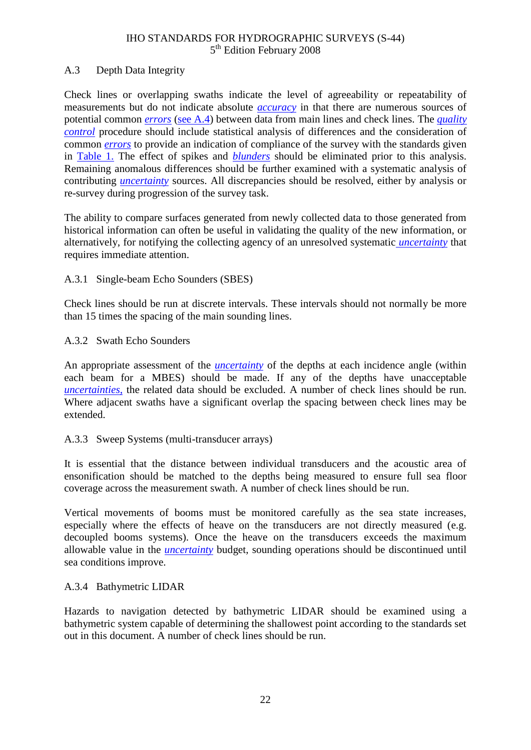### A.3 Depth Data Integrity

Check lines or overlapping swaths indicate the level of agreeability or repeatability of measurements but do not indicate absolute *[accuracy](#page-24-3)* in that there are numerous sources of potential common *[errors](#page-24-4)* [\(see A.4\)](#page-30-0) between data from main lines and check lines. The *[quality](#page-25-1)  [control](#page-25-1)* procedure should include statistical analysis of differences and the consideration of common *[errors](#page-24-4)* to provide an indication of compliance of the survey with the standards given in [Table 1.](#page-22-0) The effect of spikes and *[blunders](#page-24-15)* should be eliminated prior to this analysis. Remaining anomalous differences should be further examined with a systematic analysis of contributing *[uncertainty](#page-25-0)* sources. All discrepancies should be resolved, either by analysis or re-survey during progression of the survey task.

The ability to compare surfaces generated from newly collected data to those generated from historical information can often be useful in validating the quality of the new information, or alternatively, for notifying the collecting agency of an unresolved systematic *[uncertainty](#page-25-0)* that requires immediate attention.

### A.3.1 Single-beam Echo Sounders (SBES)

Check lines should be run at discrete intervals. These intervals should not normally be more than 15 times the spacing of the main sounding lines.

### A.3.2 Swath Echo Sounders

An appropriate assessment of the *[uncertainty](#page-25-0)* of the depths at each incidence angle (within each beam for a MBES) should be made. If any of the depths have unacceptable *[uncertainties](#page-25-0)*, the related data should be excluded. A number of check lines should be run. Where adjacent swaths have a significant overlap the spacing between check lines may be extended.

### A.3.3 Sweep Systems (multi-transducer arrays)

It is essential that the distance between individual transducers and the acoustic area of ensonification should be matched to the depths being measured to ensure full sea floor coverage across the measurement swath. A number of check lines should be run.

Vertical movements of booms must be monitored carefully as the sea state increases, especially where the effects of heave on the transducers are not directly measured (e.g. decoupled booms systems). Once the heave on the transducers exceeds the maximum allowable value in the *[uncertainty](#page-25-0)* budget, sounding operations should be discontinued until sea conditions improve.

### A.3.4 Bathymetric LIDAR

Hazards to navigation detected by bathymetric LIDAR should be examined using a bathymetric system capable of determining the shallowest point according to the standards set out in this document. A number of check lines should be run.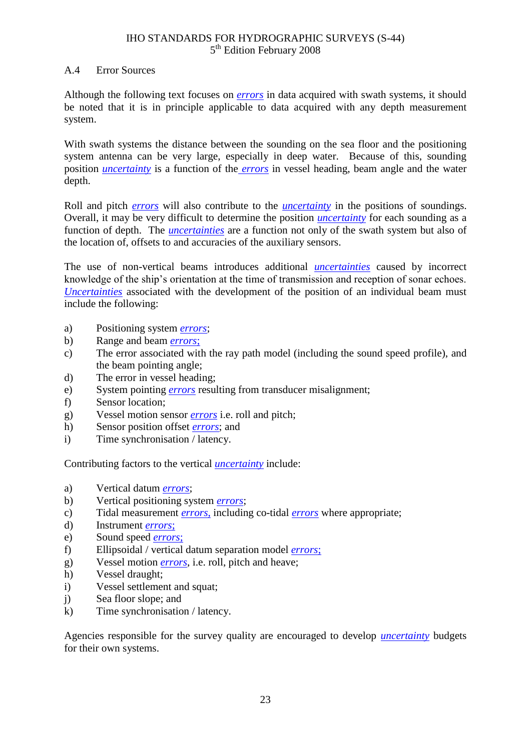### <span id="page-30-0"></span>A.4 Error Sources

Although the following text focuses on *[errors](#page-24-4)* in data acquired with swath systems, it should be noted that it is in principle applicable to data acquired with any depth measurement system.

With swath systems the distance between the sounding on the sea floor and the positioning system antenna can be very large, especially in deep water. Because of this, sounding position *[uncertainty](#page-25-0)* is a function of the *[errors](#page-24-4)* in vessel heading, beam angle and the water depth.

Roll and pitch *[errors](#page-24-4)* will also contribute to the *[uncertainty](#page-25-0)* in the positions of soundings. Overall, it may be very difficult to determine the position *[uncertainty](#page-25-0)* for each sounding as a function of depth. The *[uncertainties](#page-25-0)* are a function not only of the swath system but also of the location of, offsets to and accuracies of the auxiliary sensors.

The use of non-vertical beams introduces additional *[uncertainties](#page-25-0)* caused by incorrect knowledge of the ship"s orientation at the time of transmission and reception of sonar echoes. *[Uncertainties](#page-25-0)* associated with the development of the position of an individual beam must include the following:

- a) Positioning system *[errors](#page-24-4)*;
- b) Range and beam *[errors](#page-24-4)*;
- c) The error associated with the ray path model (including the sound speed profile), and the beam pointing angle;
- d) The error in vessel heading;
- e) System pointing *[errors](#page-24-4)* resulting from transducer misalignment;
- f) Sensor location;
- g) Vessel motion sensor *[errors](#page-24-4)* i.e. roll and pitch;
- h) Sensor position offset *[errors](#page-24-4)*; and
- i) Time synchronisation / latency.

Contributing factors to the vertical *[uncertainty](#page-25-0)* include:

- a) Vertical datum *[errors](#page-24-4)*;
- b) Vertical positioning system *[errors](#page-24-4)*;
- c) Tidal measurement *[errors](#page-24-4)*, including co-tidal *[errors](#page-24-4)* where appropriate;
- d) Instrument *[errors](#page-24-4)*;
- e) Sound speed *[errors](#page-24-4)*;
- f) Ellipsoidal / vertical datum separation model *[errors](#page-24-4)*;
- g) Vessel motion *[errors](#page-24-4)*, i.e. roll, pitch and heave;
- h) Vessel draught;
- i) Vessel settlement and squat;
- j) Sea floor slope; and
- k) Time synchronisation / latency.

Agencies responsible for the survey quality are encouraged to develop *[uncertainty](#page-25-0)* budgets for their own systems.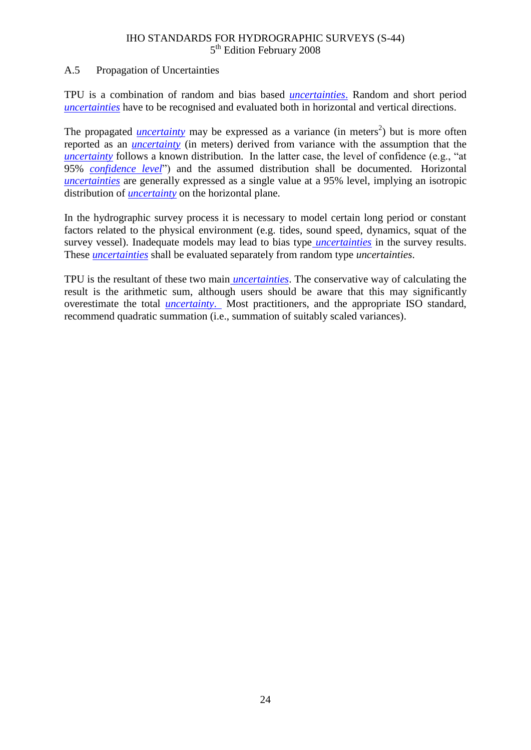### A.5 Propagation of Uncertainties

TPU is a combination of random and bias based *[uncertainties](#page-25-0)*. Random and short period *[uncertainties](#page-25-0)* have to be recognised and evaluated both in horizontal and vertical directions.

The propagated *[uncertainty](#page-25-0)* may be expressed as a variance (in meters<sup>2</sup>) but is more often reported as an *[uncertainty](#page-25-0)* (in meters) derived from variance with the assumption that the *[uncertainty](#page-25-0)* follows a known distribution. In the latter case, the level of confidence (e.g., "at 95% *[confidence level](#page-24-6)*") and the assumed distribution shall be documented. Horizontal *[uncertainties](#page-25-0)* are generally expressed as a single value at a 95% level, implying an isotropic distribution of *[uncertainty](#page-25-0)* on the horizontal plane.

In the hydrographic survey process it is necessary to model certain long period or constant factors related to the physical environment (e.g. tides, sound speed, dynamics, squat of the survey vessel). Inadequate models may lead to bias type *[uncertainties](#page-25-0)* in the survey results. These *[uncertainties](#page-25-0)* shall be evaluated separately from random type *uncertainties*.

TPU is the resultant of these two main *[uncertainties](#page-25-0)*. The conservative way of calculating the result is the arithmetic sum, although users should be aware that this may significantly overestimate the total *[uncertainty](#page-25-0)*. Most practitioners, and the appropriate ISO standard, recommend quadratic summation (i.e., summation of suitably scaled variances).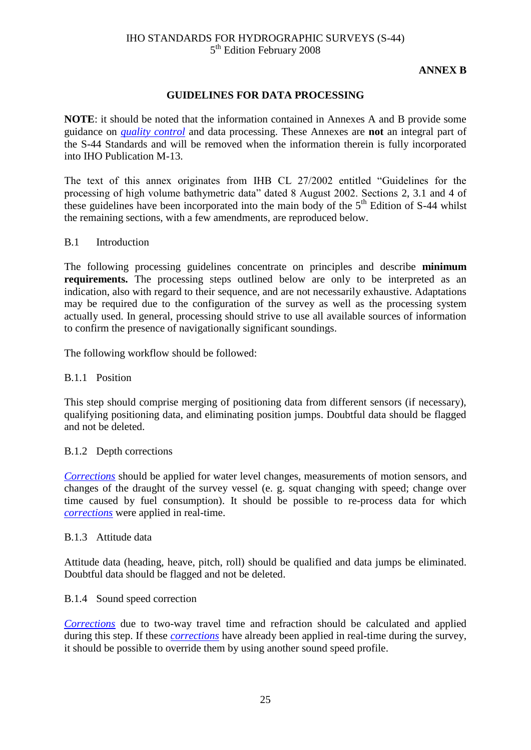### **ANNEX B**

### **GUIDELINES FOR DATA PROCESSING**

<span id="page-32-0"></span>**NOTE**: it should be noted that the information contained in Annexes A and B provide some guidance on *[quality control](#page-25-1)* and data processing. These Annexes are **not** an integral part of the S-44 Standards and will be removed when the information therein is fully incorporated into IHO Publication M-13.

The text of this annex originates from IHB CL 27/2002 entitled "Guidelines for the processing of high volume bathymetric data" dated 8 August 2002. Sections 2, 3.1 and 4 of these guidelines have been incorporated into the main body of the  $5<sup>th</sup>$  Edition of S-44 whilst the remaining sections, with a few amendments, are reproduced below.

### B.1 Introduction

The following processing guidelines concentrate on principles and describe **minimum requirements.** The processing steps outlined below are only to be interpreted as an indication, also with regard to their sequence, and are not necessarily exhaustive. Adaptations may be required due to the configuration of the survey as well as the processing system actually used. In general, processing should strive to use all available sources of information to confirm the presence of navigationally significant soundings.

The following workflow should be followed:

### B.1.1 Position

This step should comprise merging of positioning data from different sensors (if necessary), qualifying positioning data, and eliminating position jumps. Doubtful data should be flagged and not be deleted.

### B.1.2 Depth corrections

*[Corrections](#page-24-5)* should be applied for water level changes, measurements of motion sensors, and changes of the draught of the survey vessel (e. g. squat changing with speed; change over time caused by fuel consumption). It should be possible to re-process data for which *[corrections](#page-24-5)* were applied in real-time.

### B.1.3 Attitude data

Attitude data (heading, heave, pitch, roll) should be qualified and data jumps be eliminated. Doubtful data should be flagged and not be deleted.

### B.1.4 Sound speed correction

*[Corrections](#page-24-5)* due to two-way travel time and refraction should be calculated and applied during this step. If these *[corrections](#page-24-5)* have already been applied in real-time during the survey, it should be possible to override them by using another sound speed profile.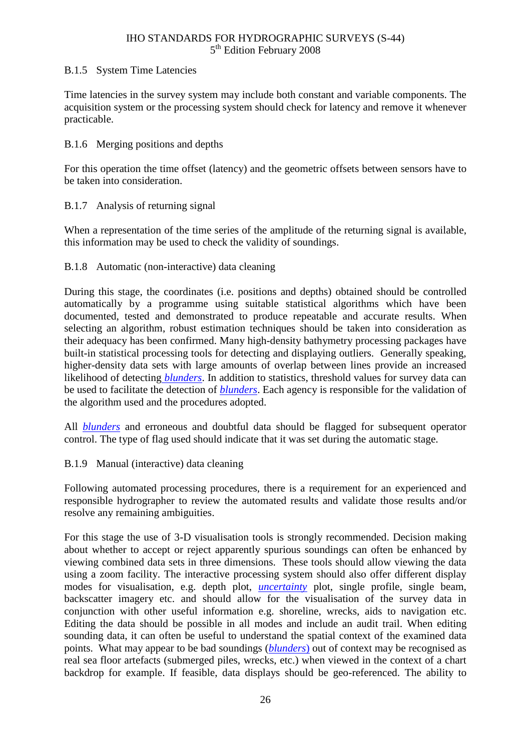### B.1.5 System Time Latencies

Time latencies in the survey system may include both constant and variable components. The acquisition system or the processing system should check for latency and remove it whenever practicable.

### B.1.6 Merging positions and depths

For this operation the time offset (latency) and the geometric offsets between sensors have to be taken into consideration.

### B.1.7 Analysis of returning signal

When a representation of the time series of the amplitude of the returning signal is available, this information may be used to check the validity of soundings.

### B.1.8 Automatic (non-interactive) data cleaning

During this stage, the coordinates (i.e. positions and depths) obtained should be controlled automatically by a programme using suitable statistical algorithms which have been documented, tested and demonstrated to produce repeatable and accurate results. When selecting an algorithm, robust estimation techniques should be taken into consideration as their adequacy has been confirmed. Many high-density bathymetry processing packages have built-in statistical processing tools for detecting and displaying outliers. Generally speaking, higher-density data sets with large amounts of overlap between lines provide an increased likelihood of detecting *[blunders](#page-24-15)*. In addition to statistics, threshold values for survey data can be used to facilitate the detection of *[blunders](#page-24-15)*. Each agency is responsible for the validation of the algorithm used and the procedures adopted.

All *[blunders](#page-24-15)* and erroneous and doubtful data should be flagged for subsequent operator control. The type of flag used should indicate that it was set during the automatic stage.

### B.1.9 Manual (interactive) data cleaning

Following automated processing procedures, there is a requirement for an experienced and responsible hydrographer to review the automated results and validate those results and/or resolve any remaining ambiguities.

For this stage the use of 3-D visualisation tools is strongly recommended. Decision making about whether to accept or reject apparently spurious soundings can often be enhanced by viewing combined data sets in three dimensions. These tools should allow viewing the data using a zoom facility. The interactive processing system should also offer different display modes for visualisation, e.g. depth plot, *[uncertainty](#page-25-0)* plot, single profile, single beam, backscatter imagery etc. and should allow for the visualisation of the survey data in conjunction with other useful information e.g. shoreline, wrecks, aids to navigation etc. Editing the data should be possible in all modes and include an audit trail. When editing sounding data, it can often be useful to understand the spatial context of the examined data points. What may appear to be bad soundings (*[blunders](#page-24-15)*) out of context may be recognised as real sea floor artefacts (submerged piles, wrecks, etc.) when viewed in the context of a chart backdrop for example. If feasible, data displays should be geo-referenced. The ability to